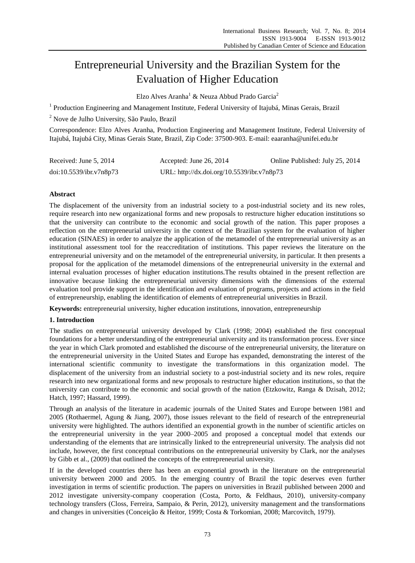# Entrepreneurial University and the Brazilian System for the Evaluation of Higher Education

Elzo Alves Aranha<sup>1</sup> & Neuza Abbud Prado Garcia<sup>2</sup>

<sup>1</sup> Production Engineering and Management Institute, Federal University of Itajub á Minas Gerais, Brazil

<sup>2</sup> Nove de Julho University, São Paulo, Brazil

Correspondence: Elzo Alves Aranha, Production Engineering and Management Institute, Federal University of Itajubá, Itajubá City, Minas Gerais State, Brazil, Zip Code: 37500-903. E-mail: eaaranha@unifei.edu.br

| Received: June 5, 2014  | Accepted: June 26, 2014                    | Online Published: July 25, 2014 |
|-------------------------|--------------------------------------------|---------------------------------|
| doi:10.5539/ibr.v7n8p73 | URL: http://dx.doi.org/10.5539/ibr.v7n8p73 |                                 |

## **Abstract**

The displacement of the university from an industrial society to a post-industrial society and its new roles, require research into new organizational forms and new proposals to restructure higher education institutions so that the university can contribute to the economic and social growth of the nation. This paper proposes a reflection on the entrepreneurial university in the context of the Brazilian system for the evaluation of higher education (SINAES) in order to analyze the application of the metamodel of the entrepreneurial university as an institutional assessment tool for the reaccreditation of institutions. This paper reviews the literature on the entrepreneurial university and on the metamodel of the entrepreneurial university, in particular. It then presents a proposal for the application of the metamodel dimensions of the entrepreneurial university in the external and internal evaluation processes of higher education institutions.The results obtained in the present reflection are innovative because linking the entrepreneurial university dimensions with the dimensions of the external evaluation tool provide support in the identification and evaluation of programs, projects and actions in the field of entrepreneurship, enabling the identification of elements of entrepreneurial universities in Brazil.

**Keywords:** entrepreneurial university, higher education institutions, innovation, entrepreneurship

## **1. Introduction**

The studies on entrepreneurial university developed by Clark (1998; 2004) established the first conceptual foundations for a better understanding of the entrepreneurial university and its transformation process. Ever since the year in which Clark promoted and established the discourse of the entrepreneurial university, the literature on the entrepreneurial university in the United States and Europe has expanded, demonstrating the interest of the international scientific community to investigate the transformations in this organization model. The displacement of the university from an industrial society to a post-industrial society and its new roles, require research into new organizational forms and new proposals to restructure higher education institutions, so that the university can contribute to the economic and social growth of the nation (Etzkowitz, Ranga & Dzisah, 2012; Hatch, 1997; Hassard, 1999).

Through an analysis of the literature in academic journals of the United States and Europe between 1981 and 2005 (Rothaermel, Agung & Jiang, 2007), those issues relevant to the field of research of the entrepreneurial university were highlighted. The authors identified an exponential growth in the number of scientific articles on the entrepreneurial university in the year 2000–2005 and proposed a conceptual model that extends our understanding of the elements that are intrinsically linked to the entrepreneurial university. The analysis did not include, however, the first conceptual contributions on the entrepreneurial university by Clark, nor the analyses by Gibb et al., (2009) that outlined the concepts of the entrepreneurial university.

If in the developed countries there has been an exponential growth in the literature on the entrepreneurial university between 2000 and 2005. In the emerging country of Brazil the topic deserves even further investigation in terms of scientific production. The papers on universities in Brazil published between 2000 and 2012 investigate university-company cooperation (Costa, Porto, & Feldhaus, 2010), university-company technology transfers (Closs, Ferreira, Sampaio, & Perin, 2012), university management and the transformations and changes in universities (Conceição & Heitor, 1999; Costa & Torkomian, 2008; Marcovitch, 1979).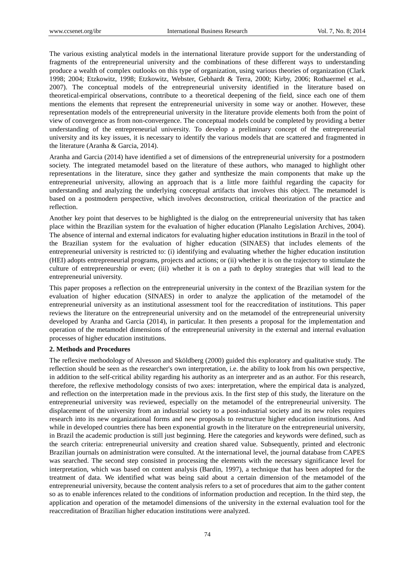The various existing analytical models in the international literature provide support for the understanding of fragments of the entrepreneurial university and the combinations of these different ways to understanding produce a wealth of complex outlooks on this type of organization, using various theories of organization (Clark 1998; 2004; Etzkowitz, 1998; Etzkowitz, Webster, Gebhardt & Terra, 2000; Kirby, 2006; Rothaermel et al., 2007). The conceptual models of the entrepreneurial university identified in the literature based on theoretical-empirical observations, contribute to a theoretical deepening of the field, since each one of them mentions the elements that represent the entrepreneurial university in some way or another. However, these representation models of the entrepreneurial university in the literature provide elements both from the point of view of convergence as from non-convergence. The conceptual models could be completed by providing a better understanding of the entrepreneurial university. To develop a preliminary concept of the entrepreneurial university and its key issues, it is necessary to identify the various models that are scattered and fragmented in the literature (Aranha & Garcia, 2014).

Aranha and Garcia (2014) have identified a set of dimensions of the entrepreneurial university for a postmodern society. The integrated metamodel based on the literature of these authors, who managed to highlight other representations in the literature, since they gather and synthesize the main components that make up the entrepreneurial university, allowing an approach that is a little more faithful regarding the capacity for understanding and analyzing the underlying conceptual artifacts that involves this object. The metamodel is based on a postmodern perspective, which involves deconstruction, critical theorization of the practice and reflection.

Another key point that deserves to be highlighted is the dialog on the entrepreneurial university that has taken place within the Brazilian system for the evaluation of higher education (Planalto Legislation Archives, 2004). The absence of internal and external indicators for evaluating higher education institutions in Brazil in the tool of the Brazilian system for the evaluation of higher education (SINAES) that includes elements of the entrepreneurial university is restricted to: (i) identifying and evaluating whether the higher education institution (HEI) adopts entrepreneurial programs, projects and actions; or (ii) whether it is on the trajectory to stimulate the culture of entrepreneurship or even; (iii) whether it is on a path to deploy strategies that will lead to the entrepreneurial university.

This paper proposes a reflection on the entrepreneurial university in the context of the Brazilian system for the evaluation of higher education (SINAES) in order to analyze the application of the metamodel of the entrepreneurial university as an institutional assessment tool for the reaccreditation of institutions. This paper reviews the literature on the entrepreneurial university and on the metamodel of the entrepreneurial university developed by Aranha and Garcia (2014), in particular. It then presents a proposal for the implementation and operation of the metamodel dimensions of the entrepreneurial university in the external and internal evaluation processes of higher education institutions.

## **2. Methods and Procedures**

The reflexive methodology of Alvesson and Sköldberg (2000) guided this exploratory and qualitative study. The reflection should be seen as the researcher's own interpretation, i.e. the ability to look from his own perspective, in addition to the self-critical ability regarding his authority as an interpreter and as an author. For this research, therefore, the reflexive methodology consists of two axes: interpretation, where the empirical data is analyzed, and reflection on the interpretation made in the previous axis. In the first step of this study, the literature on the entrepreneurial university was reviewed, especially on the metamodel of the entrepreneurial university. The displacement of the university from an industrial society to a post-industrial society and its new roles requires research into its new organizational forms and new proposals to restructure higher education institutions. And while in developed countries there has been exponential growth in the literature on the entrepreneurial university, in Brazil the academic production is still just beginning. Here the categories and keywords were defined, such as the search criteria: entrepreneurial university and creation shared value. Subsequently, printed and electronic Brazilian journals on administration were consulted. At the international level, the journal database from CAPES was searched. The second step consisted in processing the elements with the necessary significance level for interpretation, which was based on content analysis (Bardin, 1997), a technique that has been adopted for the treatment of data. We identified what was being said about a certain dimension of the metamodel of the entrepreneurial university, because the content analysis refers to a set of procedures that aim to the gather content so as to enable inferences related to the conditions of information production and reception. In the third step, the application and operation of the metamodel dimensions of the university in the external evaluation tool for the reaccreditation of Brazilian higher education institutions were analyzed.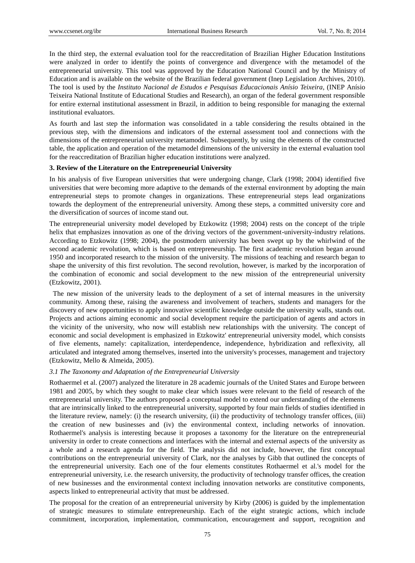In the third step, the external evaluation tool for the reaccreditation of Brazilian Higher Education Institutions were analyzed in order to identify the points of convergence and divergence with the metamodel of the entrepreneurial university. This tool was approved by the Education National Council and by the Ministry of Education and is available on the website of the Brazilian federal government (Inep Legislation Archives, 2010). The tool is used by the *Instituto Nacional de Estudos e Pesquisas Educacionais Anísio Teixeira*, (INEP Anísio Teixeira National Institute of Educational Studies and Research), an organ of the federal government responsible for entire external institutional assessment in Brazil, in addition to being responsible for managing the external institutional evaluators.

As fourth and last step the information was consolidated in a table considering the results obtained in the previous step, with the dimensions and indicators of the external assessment tool and connections with the dimensions of the entrepreneurial university metamodel. Subsequently, by using the elements of the constructed table, the application and operation of the metamodel dimensions of the university in the external evaluation tool for the reaccreditation of Brazilian higher education institutions were analyzed.

#### **3. Review of the Literature on the Entrepreneurial University**

In his analysis of five European universities that were undergoing change, Clark (1998; 2004) identified five universities that were becoming more adaptive to the demands of the external environment by adopting the main entrepreneurial steps to promote changes in organizations. These entrepreneurial steps lead organizations towards the deployment of the entrepreneurial university. Among these steps, a committed university core and the diversification of sources of income stand out.

The entrepreneurial university model developed by Etzkowitz (1998; 2004) rests on the concept of the triple helix that emphasizes innovation as one of the driving vectors of the government-university-industry relations. According to Etzkowitz (1998; 2004), the postmodern university has been swept up by the whirlwind of the second academic revolution, which is based on entrepreneurship. The first academic revolution began around 1950 and incorporated research to the mission of the university. The missions of teaching and research began to shape the university of this first revolution. The second revolution, however, is marked by the incorporation of the combination of economic and social development to the new mission of the entrepreneurial university (Etzkowitz, 2001).

The new mission of the university leads to the deployment of a set of internal measures in the university community. Among these, raising the awareness and involvement of teachers, students and managers for the discovery of new opportunities to apply innovative scientific knowledge outside the university walls, stands out. Projects and actions aiming economic and social development require the participation of agents and actors in the vicinity of the university, who now will establish new relationships with the university. The concept of economic and social development is emphasized in Etzkowitz' entrepreneurial university model, which consists of five elements, namely: capitalization, interdependence, independence, hybridization and reflexivity, all articulated and integrated among themselves, inserted into the university's processes, management and trajectory (Etzkowitz, Mello & Almeida, 2005).

## *3.1 The Taxonomy and Adaptation of the Entrepreneurial University*

Rothaermel et al. (2007) analyzed the literature in 28 academic journals of the United States and Europe between 1981 and 2005, by which they sought to make clear which issues were relevant to the field of research of the entrepreneurial university. The authors proposed a conceptual model to extend our understanding of the elements that are intrinsically linked to the entrepreneurial university, supported by four main fields of studies identified in the literature review, namely: (i) the research university, (ii) the productivity of technology transfer offices, (iii) the creation of new businesses and (iv) the environmental context, including networks of innovation. Rothaermel's analysis is interesting because it proposes a taxonomy for the literature on the entrepreneurial university in order to create connections and interfaces with the internal and external aspects of the university as a whole and a research agenda for the field. The analysis did not include, however, the first conceptual contributions on the entrepreneurial university of Clark, nor the analyses by Gibb that outlined the concepts of the entrepreneurial university. Each one of the four elements constitutes Rothaermel et al.'s model for the entrepreneurial university, i.e. the research university, the productivity of technology transfer offices, the creation of new businesses and the environmental context including innovation networks are constitutive components, aspects linked to entrepreneurial activity that must be addressed.

The proposal for the creation of an entrepreneurial university by Kirby (2006) is guided by the implementation of strategic measures to stimulate entrepreneurship. Each of the eight strategic actions, which include commitment, incorporation, implementation, communication, encouragement and support, recognition and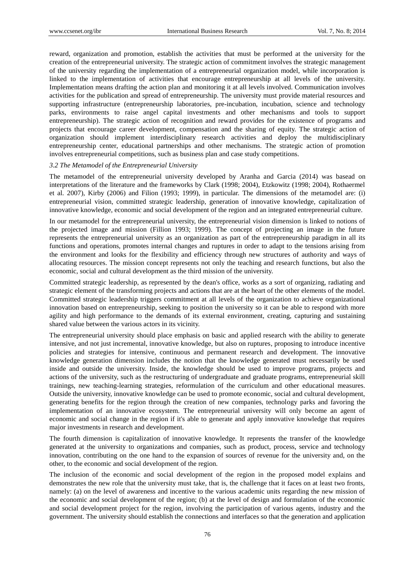reward, organization and promotion, establish the activities that must be performed at the university for the creation of the entrepreneurial university. The strategic action of commitment involves the strategic management of the university regarding the implementation of a entrepreneurial organization model, while incorporation is linked to the implementation of activities that encourage entrepreneurship at all levels of the university. Implementation means drafting the action plan and monitoring it at all levels involved. Communication involves activities for the publication and spread of entrepreneurship. The university must provide material resources and supporting infrastructure (entrepreneurship laboratories, pre-incubation, incubation, science and technology parks, environments to raise angel capital investments and other mechanisms and tools to support entrepreneurship). The strategic action of recognition and reward provides for the existence of programs and projects that encourage career development, compensation and the sharing of equity. The strategic action of organization should implement interdisciplinary research activities and deploy the multidisciplinary entrepreneurship center, educational partnerships and other mechanisms. The strategic action of promotion involves entrepreneurial competitions, such as business plan and case study competitions.

### *3.2 The Metamodel of the Entrepreneurial University*

The metamodel of the entrepreneurial university developed by Aranha and Garcia (2014) was basead on interpretations of the literature and the frameworks by Clark (1998; 2004), Etzkowitz (1998; 2004), Rothaermel et al. 2007), Kirby (2006) and Filion (1993; 1999), in particular. The dimensions of the metamodel are: (i) entrepreneurial vision, committed strategic leadership, generation of innovative knowledge, capitalization of innovative knowledge, economic and social development of the region and an integrated entrepreneurial culture.

In our metamodel for the entrepreneurial university, the entrepreneurial vision dimension is linked to notions of the projected image and mission (Fillion 1993; 1999). The concept of projecting an image in the future represents the entrepreneurial university as an organization as part of the entrepreneurship paradigm in all its functions and operations, promotes internal changes and ruptures in order to adapt to the tensions arising from the environment and looks for the flexibility and efficiency through new structures of authority and ways of allocating resources. The mission concept represents not only the teaching and research functions, but also the economic, social and cultural development as the third mission of the university.

Committed strategic leadership, as represented by the dean's office, works as a sort of organizing, radiating and strategic element of the transforming projects and actions that are at the heart of the other elements of the model. Committed strategic leadership triggers commitment at all levels of the organization to achieve organizational innovation based on entrepreneurship, seeking to position the university so it can be able to respond with more agility and high performance to the demands of its external environment, creating, capturing and sustaining shared value between the various actors in its vicinity.

The entrepreneurial university should place emphasis on basic and applied research with the ability to generate intensive, and not just incremental, innovative knowledge, but also on ruptures, proposing to introduce incentive policies and strategies for intensive, continuous and permanent research and development. The innovative knowledge generation dimension includes the notion that the knowledge generated must necessarily be used inside and outside the university. Inside, the knowledge should be used to improve programs, projects and actions of the university, such as the restructuring of undergraduate and graduate programs, entrepreneurial skill trainings, new teaching-learning strategies, reformulation of the curriculum and other educational measures. Outside the university, innovative knowledge can be used to promote economic, social and cultural development, generating benefits for the region through the creation of new companies, technology parks and favoring the implementation of an innovative ecosystem. The entrepreneurial university will only become an agent of economic and social change in the region if it's able to generate and apply innovative knowledge that requires major investments in research and development.

The fourth dimension is capitalization of innovative knowledge. It represents the transfer of the knowledge generated at the university to organizations and companies, such as product, process, service and technology innovation, contributing on the one hand to the expansion of sources of revenue for the university and, on the other, to the economic and social development of the region.

The inclusion of the economic and social development of the region in the proposed model explains and demonstrates the new role that the university must take, that is, the challenge that it faces on at least two fronts, namely: (a) on the level of awareness and incentive to the various academic units regarding the new mission of the economic and social development of the region; (b) at the level of design and formulation of the economic and social development project for the region, involving the participation of various agents, industry and the government. The university should establish the connections and interfaces so that the generation and application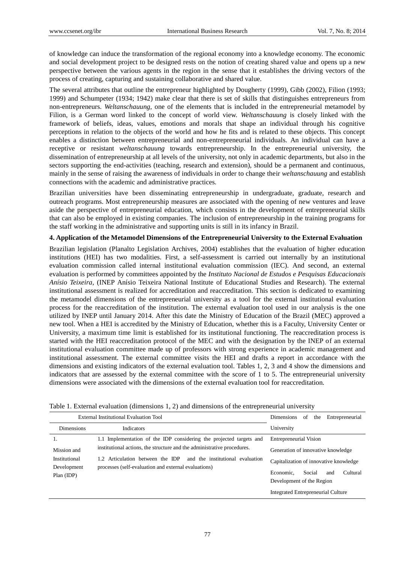of knowledge can induce the transformation of the regional economy into a knowledge economy. The economic and social development project to be designed rests on the notion of creating shared value and opens up a new perspective between the various agents in the region in the sense that it establishes the driving vectors of the process of creating, capturing and sustaining collaborative and shared value.

The several attributes that outline the entrepreneur highlighted by Dougherty (1999), Gibb (2002), Filion (1993; 1999) and Schumpeter (1934; 1942) make clear that there is set of skills that distinguishes entrepreneurs from non-entrepreneurs. *Weltanschauung,* one of the elements that is included in the entrepreneurial metamodel by Filion, is a German word linked to the concept of world view. *Weltanschauung* is closely linked with the framework of beliefs, ideas, values, emotions and morals that shape an individual through his cognitive perceptions in relation to the objects of the world and how he fits and is related to these objects. This concept enables a distinction between entrepreneurial and non-entrepreneurial individuals. An individual can have a receptive or resistant *weltanschauung* towards entrepreneurship. In the entrepreneurial university, the dissemination of entrepreneurship at all levels of the university, not only in academic departments, but also in the sectors supporting the end-activities (teaching, research and extension), should be a permanent and continuous, mainly in the sense of raising the awareness of individuals in order to change their *weltanschauung* and establish connections with the academic and administrative practices.

Brazilian universities have been disseminating entrepreneurship in undergraduate, graduate, research and outreach programs. Most entrepreneurship measures are associated with the opening of new ventures and leave aside the perspective of entrepreneurial education, which consists in the development of entrepreneurial skills that can also be employed in existing companies. The inclusion of entrepreneurship in the training programs for the staff working in the administrative and supporting units is still in its infancy in Brazil.

## **4. Application of the Metamodel Dimensions of the Entrepreneurial University to the External Evaluation**

Brazilian legislation (Planalto Legislation Archives, 2004) establishes that the evaluation of higher education institutions (HEI) has two modalities. First, a self-assessment is carried out internally by an institutional evaluation commission called internal institutional evaluation commission (IEC). And second, an external evaluation is performed by committees appointed by the *Instituto Nacional de Estudos e Pesquisas Educacionais Anísio Teixeira*, (INEP Anísio Teixeira National Institute of Educational Studies and Research). The external institutional assessment is realized for accreditation and reaccreditation. This section is dedicated to examining the metamodel dimensions of the entrepreneurial university as a tool for the external institutional evaluation process for the reaccreditation of the institution. The external evaluation tool used in our analysis is the one utilized by INEP until January 2014. After this date the Ministry of Education of the Brazil (MEC) approved a new tool. When a HEI is accredited by the Ministry of Education, whether this is a Faculty, University Center or University, a maximum time limit is established for its institutional functioning. The reaccreditation process is started with the HEI reaccreditation protocol of the MEC and with the designation by the INEP of an external institutional evaluation committee made up of professors with strong experience in academic management and institutional assessment. The external committee visits the HEI and drafts a report in accordance with the dimensions and existing indicators of the external evaluation tool. Tables 1, 2, 3 and 4 show the dimensions and indicators that are assessed by the external committee with the score of 1 to 5. The entrepreneurial university dimensions were associated with the dimensions of the external evaluation tool for reaccreditation.

| External Institutional Evaluation Tool                                                |                                                                         | Entrepreneurial<br>Dimensions<br>the<br>of |
|---------------------------------------------------------------------------------------|-------------------------------------------------------------------------|--------------------------------------------|
| <b>Dimensions</b>                                                                     | <b>Indicators</b>                                                       | University                                 |
| 1.                                                                                    | 1.1 Implementation of the IDP considering the projected targets and     | Entrepreneurial Vision                     |
| Mission and                                                                           | institutional actions, the structure and the administrative procedures. | Generation of innovative knowledge         |
| Institutional<br>1.2 Articulation between the IDP<br>and the institutional evaluation | Capitalization of innovative knowledge                                  |                                            |
| Development<br>$Plan$ (IDP)                                                           | processes (self-evaluation and external evaluations)                    | Cultural<br>Social<br>Economic.<br>and     |
|                                                                                       |                                                                         | Development of the Region                  |
|                                                                                       |                                                                         | Integrated Entrepreneurial Culture         |

Table 1. External evaluation (dimensions 1, 2) and dimensions of the entrepreneurial university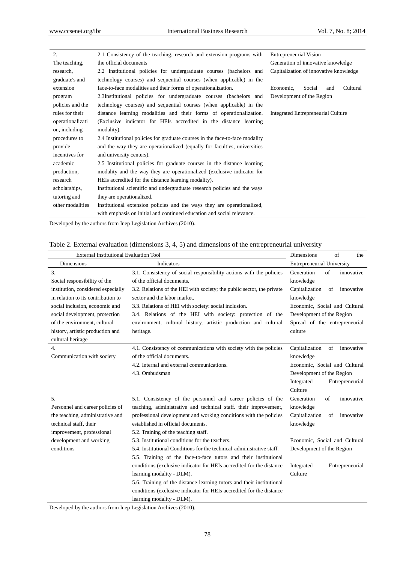| 2.               | 2.1 Consistency of the teaching, research and extension programs with        | <b>Entrepreneurial Vision</b>          |
|------------------|------------------------------------------------------------------------------|----------------------------------------|
| The teaching,    | the official documents                                                       | Generation of innovative knowledge     |
| research.        | 2.2 Institutional policies for undergraduate courses (bachelors and          | Capitalization of innovative knowledge |
| graduate's and   | technology courses) and sequential courses (when applicable) in the          |                                        |
| extension        | face-to-face modalities and their forms of operationalization.               | Social<br>Cultural<br>Economic,<br>and |
| program          | 2.3Institutional policies for undergraduate courses (bachelors and           | Development of the Region              |
| policies and the | technology courses) and sequential courses (when applicable) in the          |                                        |
| rules for their  | distance learning modalities and their forms of operationalization.          | Integrated Entrepreneurial Culture     |
| operationalizati | (Exclusive indicator for HEIs accredited in the distance learning            |                                        |
| on, including    | modality).                                                                   |                                        |
| procedures to    | 2.4 Institutional policies for graduate courses in the face-to-face modality |                                        |
| provide          | and the way they are operationalized (equally for faculties, universities    |                                        |
| incentives for   | and university centers).                                                     |                                        |
| academic         | 2.5 Institutional policies for graduate courses in the distance learning     |                                        |
| production,      | modality and the way they are operationalized (exclusive indicator for       |                                        |
| research         | HEIs accredited for the distance learning modality).                         |                                        |
| scholarships,    | Institutional scientific and undergraduate research policies and the ways    |                                        |
| tutoring and     | they are operationalized.                                                    |                                        |
| other modalities | Institutional extension policies and the ways they are operationalized,      |                                        |
|                  | with emphasis on initial and continued education and social relevance.       |                                        |

Developed by the authors from Inep Legislation Archives (2010).

| Table 2. External evaluation (dimensions 3, 4, 5) and dimensions of the entrepreneurial university |
|----------------------------------------------------------------------------------------------------|
|----------------------------------------------------------------------------------------------------|

| <b>External Institutional Evaluation Tool</b> |                                                                        | <b>Dimensions</b><br>of<br>the     |
|-----------------------------------------------|------------------------------------------------------------------------|------------------------------------|
| <b>Dimensions</b>                             | Indicators                                                             | <b>Entrepreneurial University</b>  |
| 3.                                            | 3.1. Consistency of social responsibility actions with the policies    | of<br>Generation<br>innovative     |
| Social responsibility of the                  | of the official documents.                                             | knowledge                          |
| institution, considered especially            | 3.2. Relations of the HEI with society; the public sector, the private | Capitalization<br>of<br>innovative |
| in relation to its contribution to            | sector and the labor market.                                           | knowledge                          |
| social inclusion, economic and                | 3.3. Relations of HEI with society: social inclusion.                  | Economic, Social and Cultural      |
| social development, protection                | 3.4. Relations of the HEI with society: protection of the              | Development of the Region          |
| of the environment, cultural                  | environment, cultural history, artistic production and cultural        | Spread of the entrepreneurial      |
| history, artistic production and              | heritage.                                                              | culture                            |
| cultural heritage                             |                                                                        |                                    |
| 4.                                            | 4.1. Consistency of communications with society with the policies      | Capitalization<br>of<br>innovative |
| Communication with society                    | of the official documents.                                             | knowledge                          |
|                                               | 4.2. Internal and external communications.                             | Economic, Social and Cultural      |
|                                               | 4.3. Ombudsman                                                         | Development of the Region          |
|                                               |                                                                        | Integrated<br>Entrepreneurial      |
|                                               |                                                                        | Culture                            |
| 5.                                            | 5.1. Consistency of the personnel and career policies of the           | Generation<br>of<br>innovative     |
| Personnel and career policies of              | teaching, administrative and technical staff. their improvement,       | knowledge                          |
| the teaching, administrative and              | professional development and working conditions with the policies      | Capitalization<br>innovative<br>of |
| technical staff, their                        | established in official documents.                                     | knowledge                          |
| improvement, professional                     | 5.2. Training of the teaching staff.                                   |                                    |
| development and working                       | 5.3. Institutional conditions for the teachers.                        | Economic, Social and Cultural      |
| conditions                                    | 5.4. Institutional Conditions for the technical-administrative staff.  | Development of the Region          |
|                                               | 5.5. Training of the face-to-face tutors and their institutional       |                                    |
|                                               | conditions (exclusive indicator for HEIs accredited for the distance   | Integrated<br>Entrepreneurial      |
|                                               | learning modality - DLM).                                              | Culture                            |
|                                               | 5.6. Training of the distance learning tutors and their institutional  |                                    |
|                                               | conditions (exclusive indicator for HEIs accredited for the distance   |                                    |
|                                               | learning modality - DLM).                                              |                                    |

Developed by the authors from Inep Legislation Archives (2010).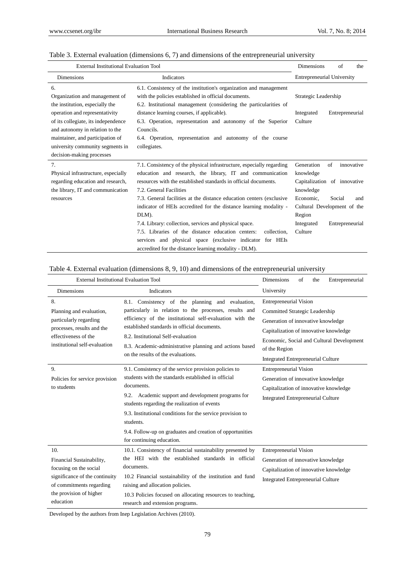| <b>External Institutional Evaluation Tool</b>                                                                                                                                                                 |                                                                                                                                                                                                                                                                                                                                                                                                         | <b>Dimensions</b>                                                           | of                        | the        |
|---------------------------------------------------------------------------------------------------------------------------------------------------------------------------------------------------------------|---------------------------------------------------------------------------------------------------------------------------------------------------------------------------------------------------------------------------------------------------------------------------------------------------------------------------------------------------------------------------------------------------------|-----------------------------------------------------------------------------|---------------------------|------------|
| <b>Dimensions</b><br>Indicators                                                                                                                                                                               |                                                                                                                                                                                                                                                                                                                                                                                                         | <b>Entrepreneurial University</b>                                           |                           |            |
| 6.<br>Organization and management of<br>the institution, especially the                                                                                                                                       | 6.1. Consistency of the institution's organization and management<br>with the policies established in official documents.<br>6.2. Institutional management (considering the particularities of                                                                                                                                                                                                          | Strategic Leadership                                                        |                           |            |
| operation and representativity<br>of its collegiate, its independence<br>and autonomy in relation to the<br>maintainer, and participation of<br>university community segments in<br>decision-making processes | distance learning courses, if applicable).<br>6.3. Operation, representation and autonomy of the Superior<br>Councils.<br>6.4. Operation, representation and autonomy of the course<br>collegiates.                                                                                                                                                                                                     | Integrated<br>Culture                                                       | Entrepreneurial           |            |
| 7.<br>Physical infrastructure, especially<br>regarding education and research,<br>the library, IT and communication                                                                                           | 7.1. Consistency of the physical infrastructure, especially regarding<br>education and research, the library, IT and communication<br>resources with the established standards in official documents.<br>7.2. General Facilities                                                                                                                                                                        | Generation<br>knowledge<br>Capitalization of innovative<br>knowledge        | of                        | innovative |
| resources                                                                                                                                                                                                     | 7.3. General facilities at the distance education centers (exclusive)<br>indicator of HEIs accredited for the distance learning modality -<br>DLM).<br>7.4. Library: collection, services and physical space.<br>7.5. Libraries of the distance education centers:<br>collection.<br>services and physical space (exclusive indicator for HEIs<br>accredited for the distance learning modality - DLM). | Economic.<br>Cultural Development of the<br>Region<br>Integrated<br>Culture | Social<br>Entrepreneurial | and        |

# Table 3. External evaluation (dimensions 6, 7) and dimensions of the entrepreneurial university

## Table 4. External evaluation (dimensions 8, 9, 10) and dimensions of the entrepreneurial university

| <b>External Institutional Evaluation Tool</b>                                                                                                                    |                                                                                                                                                                                                                                                                                                                                                                                                       | <b>Dimensions</b><br>Entrepreneurial<br>of<br>the                                                                                                                                                                                                          |
|------------------------------------------------------------------------------------------------------------------------------------------------------------------|-------------------------------------------------------------------------------------------------------------------------------------------------------------------------------------------------------------------------------------------------------------------------------------------------------------------------------------------------------------------------------------------------------|------------------------------------------------------------------------------------------------------------------------------------------------------------------------------------------------------------------------------------------------------------|
| <b>Dimensions</b>                                                                                                                                                | Indicators                                                                                                                                                                                                                                                                                                                                                                                            | University                                                                                                                                                                                                                                                 |
| 8.<br>Planning and evaluation,<br>particularly regarding<br>processes, results and the<br>effectiveness of the<br>institutional self-evaluation                  | Consistency of the planning and evaluation,<br>8.1.<br>particularly in relation to the processes, results and<br>efficiency of the institutional self-evaluation with the<br>established standards in official documents.<br>8.2. Institutional Self-evaluation<br>8.3. Academic-administrative planning and actions based<br>on the results of the evaluations.                                      | <b>Entrepreneurial Vision</b><br>Committed Strategic Leadership<br>Generation of innovative knowledge<br>Capitalization of innovative knowledge<br>Economic, Social and Cultural Development<br>of the Region<br><b>Integrated Entrepreneurial Culture</b> |
| 9.<br>Policies for service provision<br>to students                                                                                                              | 9.1. Consistency of the service provision policies to<br>students with the standards established in official<br>documents.<br>9.2. Academic support and development programs for<br>students regarding the realization of events<br>9.3. Institutional conditions for the service provision to<br>students.<br>9.4. Follow-up on graduates and creation of opportunities<br>for continuing education. | <b>Entrepreneurial Vision</b><br>Generation of innovative knowledge<br>Capitalization of innovative knowledge<br><b>Integrated Entrepreneurial Culture</b>                                                                                                 |
| 10.<br>Financial Sustainability,<br>focusing on the social<br>significance of the continuity<br>of commitments regarding<br>the provision of higher<br>education | 10.1. Consistency of financial sustainability presented by<br>the HEI with the established standards in official<br>documents.<br>10.2 Financial sustainability of the institution and fund<br>raising and allocation policies.<br>10.3 Policies focused on allocating resources to teaching,<br>research and extension programs.                                                                     | <b>Entrepreneurial Vision</b><br>Generation of innovative knowledge<br>Capitalization of innovative knowledge<br><b>Integrated Entrepreneurial Culture</b>                                                                                                 |

Developed by the authors from Inep Legislation Archives (2010).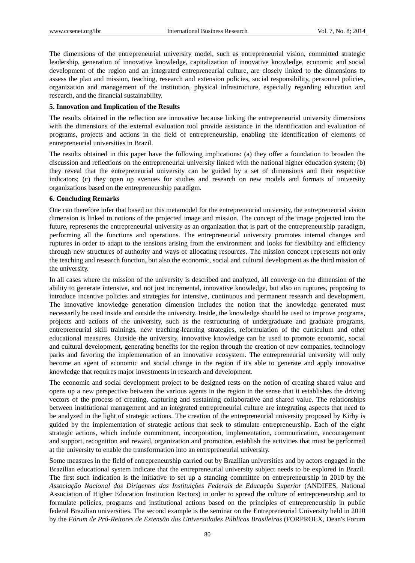The dimensions of the entrepreneurial university model, such as entrepreneurial vision, committed strategic leadership, generation of innovative knowledge, capitalization of innovative knowledge, economic and social development of the region and an integrated entrepreneurial culture, are closely linked to the dimensions to assess the plan and mission, teaching, research and extension policies, social responsibility, personnel policies, organization and management of the institution, physical infrastructure, especially regarding education and research, and the financial sustainability.

## **5. Innovation and Implication of the Results**

The results obtained in the reflection are innovative because linking the entrepreneurial university dimensions with the dimensions of the external evaluation tool provide assistance in the identification and evaluation of programs, projects and actions in the field of entrepreneurship, enabling the identification of elements of entrepreneurial universities in Brazil.

The results obtained in this paper have the following implications: (a) they offer a foundation to broaden the discussion and reflections on the entrepreneurial university linked with the national higher education system; (b) they reveal that the entrepreneurial university can be guided by a set of dimensions and their respective indicators; (c) they open up avenues for studies and research on new models and formats of university organizations based on the entrepreneurship paradigm.

## **6. Concluding Remarks**

One can therefore infer that based on this metamodel for the entrepreneurial university, the entrepreneurial vision dimension is linked to notions of the projected image and mission. The concept of the image projected into the future, represents the entrepreneurial university as an organization that is part of the entrepreneurship paradigm, performing all the functions and operations. The entrepreneurial university promotes internal changes and ruptures in order to adapt to the tensions arising from the environment and looks for flexibility and efficiency through new structures of authority and ways of allocating resources. The mission concept represents not only the teaching and research function, but also the economic, social and cultural development as the third mission of the university.

In all cases where the mission of the university is described and analyzed, all converge on the dimension of the ability to generate intensive, and not just incremental, innovative knowledge, but also on ruptures, proposing to introduce incentive policies and strategies for intensive, continuous and permanent research and development. The innovative knowledge generation dimension includes the notion that the knowledge generated must necessarily be used inside and outside the university. Inside, the knowledge should be used to improve programs, projects and actions of the university, such as the restructuring of undergraduate and graduate programs, entrepreneurial skill trainings, new teaching-learning strategies, reformulation of the curriculum and other educational measures. Outside the university, innovative knowledge can be used to promote economic, social and cultural development, generating benefits for the region through the creation of new companies, technology parks and favoring the implementation of an innovative ecosystem. The entrepreneurial university will only become an agent of economic and social change in the region if it's able to generate and apply innovative knowledge that requires major investments in research and development.

The economic and social development project to be designed rests on the notion of creating shared value and opens up a new perspective between the various agents in the region in the sense that it establishes the driving vectors of the process of creating, capturing and sustaining collaborative and shared value. The relationships between institutional management and an integrated entrepreneurial culture are integrating aspects that need to be analyzed in the light of strategic actions. The creation of the entrepreneurial university proposed by Kirby is guided by the implementation of strategic actions that seek to stimulate entrepreneurship. Each of the eight strategic actions, which include commitment, incorporation, implementation, communication, encouragement and support, recognition and reward, organization and promotion, establish the activities that must be performed at the university to enable the transformation into an entrepreneurial university.

Some measures in the field of entrepreneurship carried out by Brazilian universities and by actors engaged in the Brazilian educational system indicate that the entrepreneurial university subject needs to be explored in Brazil. The first such indication is the initiative to set up a standing committee on entrepreneurship in 2010 by the *Associação Nacional dos Dirigentes das Instituições Federais de Educação Superior* (ANDIFES, National Association of Higher Education Institution Rectors) in order to spread the culture of entrepreneurship and to formulate policies, programs and institutional actions based on the principles of entrepreneurship in public federal Brazilian universities. The second example is the seminar on the Entrepreneurial University held in 2010 by the *Fórum de Pró-Reitores de Extensão das Universidades Públicas Brasileiras* (FORPROEX, Dean's Forum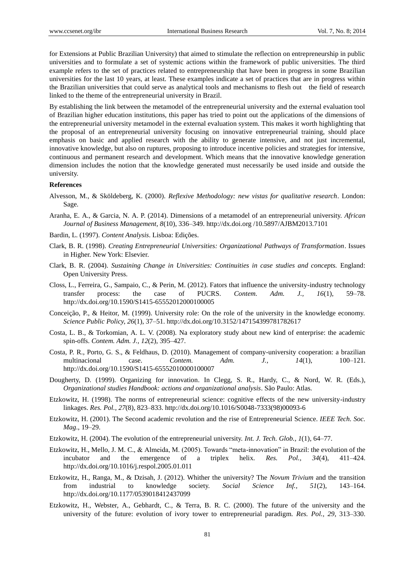for Extensions at Public Brazilian University) that aimed to stimulate the reflection on entrepreneurship in public universities and to formulate a set of systemic actions within the framework of public universities. The third example refers to the set of practices related to entrepreneurship that have been in progress in some Brazilian universities for the last 10 years, at least. These examples indicate a set of practices that are in progress within the Brazilian universities that could serve as analytical tools and mechanisms to flesh out the field of research linked to the theme of the entrepreneurial university in Brazil.

By establishing the link between the metamodel of the entrepreneurial university and the external evaluation tool of Brazilian higher education institutions, this paper has tried to point out the applications of the dimensions of the entrepreneurial university metamodel in the external evaluation system. This makes it worth highlighting that the proposal of an entrepreneurial university focusing on innovative entrepreneurial training, should place emphasis on basic and applied research with the ability to generate intensive, and not just incremental, innovative knowledge, but also on ruptures, proposing to introduce incentive policies and strategies for intensive, continuous and permanent research and development. Which means that the innovative knowledge generation dimension includes the notion that the knowledge generated must necessarily be used inside and outside the university.

## **References**

- Alvesson, M., & Sköldeberg, K. (2000). *Reflexive Methodology: new vistas for qualitative research*. London: Sage.
- Aranha, E. A., & Garcia, N. A. P. (2014). Dimensions of a metamodel of an entrepreneurial university. *African Journal of Business Management, 8*(10), 336–349. http://dx.doi.org /10.5897/AJBM2013.7101
- Bardin, L. (1997). *Content Analysis*. Lisboa: Edições.
- Clark, B. R. (1998). *Creating Entrepreneurial Universities: Organizational Pathways of Transformation*. Issues in Higher. New York: Elsevier.
- Clark, B. R. (2004). *Sustaining Change in Universities: Continuities in case studies and concepts.* England: Open University Press.
- Closs, L., Ferreira, G., Sampaio, C., & Perin, M. (2012). Fators that influence the university-industry technology transfer process: the case of PUCRS. *Contem. Adm. J., 16*(1), 59–78. http://dx.doi.org/10.1590/S1415-65552012000100005
- Conceição, P., & Heitor, M. (1999). University role: On the role of the university in the knowledge economy. *Science Public Policy, 26*(1), 37–51. http://dx.doi.org/10.3152/147154399781782617
- Costa, L. B., & Torkomian, A. L. V. (2008). Na exploratory study about new kind of enterprise: the academic spin-offs. *Contem. Adm. J., 12*(2), 395–427.
- Costa, P. R., Porto, G. S., & Feldhaus, D. (2010). Management of company-university cooperation: a brazilian multinacional case. *Contem. Adm. J., 14*(1), 100–121. http://dx.doi.org/10.1590/S1415-65552010000100007
- Dougherty, D. (1999). Organizing for innovation. In Clegg, S. R., Hardy, C., & Nord, W. R. (Eds.), *Organizational studies Handbook: actions and organizational analysis*. São Paulo: Atlas.
- Etzkowitz, H. (1998). The norms of entrepreneurial science: cognitive effects of the new university-industry linkages. *Res. Pol., 27*(8), 823–833. http://dx.doi.org/10.1016/S0048-7333(98)00093-6
- Etzkowitz, H. (2001). The Second academic revolution and the rise of Entrepreneurial Science. *IEEE Tech. Soc. Mag*., 19–29.
- Etzkowitz, H. (2004). The evolution of the entrepreneurial university. *Int. J. Tech. Glob., 1*(1), 64–77.
- Etzkowitz, H., Mello, J. M. C., & Almeida, M. (2005). Towards "meta-innovation" in Brazil: the evolution of the incubator and the emergence of a triplex helix. *Res. Pol., 34*(4), 411–424. http://dx.doi.org/10.1016/j.respol.2005.01.011
- Etzkowitz, H., Ranga, M., & Dzisah, J. (2012). Whither the university? The *Novum Trivium* and the transition from industrial to knowledge society. *Social Science Inf., 51*(2), 143–164. http://dx.doi.org/10.1177/0539018412437099
- Etzkowitz, H., Webster, A., Gebhardt, C., & Terra, B. R. C. (2000). The future of the university and the university of the future: evolution of ivory tower to entrepreneurial paradigm. *Res. Pol., 29*, 313–330.